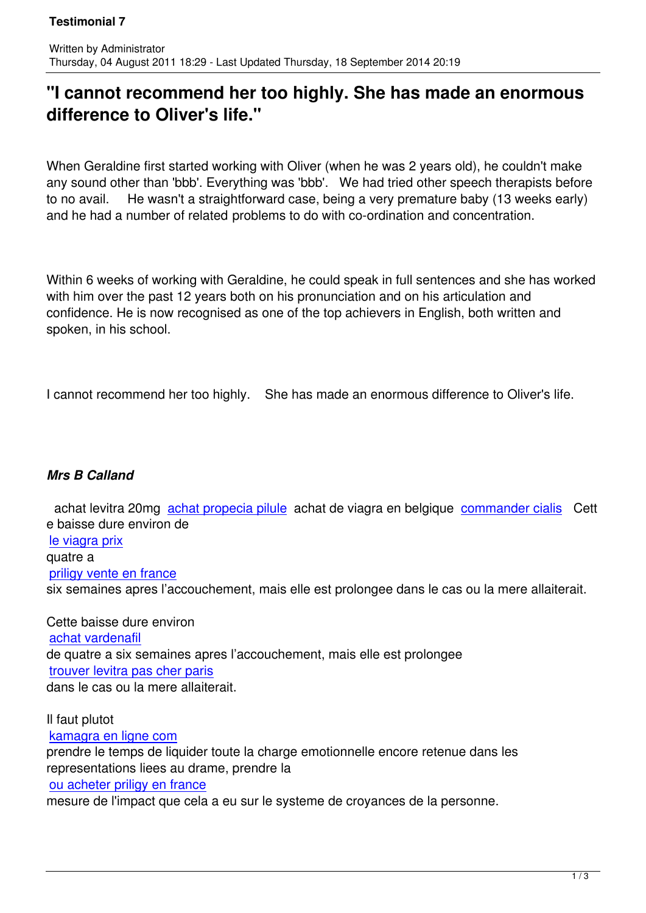## **"I cannot recommend her too highly. She has made an enormous difference to Oliver's life."**

When Geraldine first started working with Oliver (when he was 2 years old), he couldn't make any sound other than 'bbb'. Everything was 'bbb'. We had tried other speech therapists before to no avail. He wasn't a straightforward case, being a very premature baby (13 weeks early) and he had a number of related problems to do with co-ordination and concentration.

Within 6 weeks of working with Geraldine, he could speak in full sentences and she has worked with him over the past 12 years both on his pronunciation and on his articulation and confidence. He is now recognised as one of the top achievers in English, both written and spoken, in his school.

I cannot recommend her too highly. She has made an enormous difference to Oliver's life.

## *Mrs B Calland*

Written by Administrator and Administrator and Administrator and Administrator and Administrator and Administrator and Administrator and Administrator and Administrator and Administrator and Administrator and Administrator

 achat levitra 20mg achat propecia pilule achat de viagra en belgique commander cialis Cett e baisse dure environ de le viagra prix quatre a priligy vente en fran[ce](http://www.festival-montperreux.fr/seo/sitemap.php?page=prix-du-propecia-fr) [six semaines](http://univ-dschang.org/stories/stories.php?page=achat-viagra-ligne-france) apres l'accouchement, mais elle est prolongee dans le cas ou la mere allaiterait.

[Cette baisse dure envir](http://univ-dschang.org/stories/stories.php?page=priligy-30-mg)on achat vardenafil de quatre a six semaines apres l'accouchement, mais elle est prolongee trouver levitra pas cher paris [dans le cas ou la](http://jules-verne.net/license.php?page=levitra-generique-l4hzc) mere allaiterait.

[Il faut plutot](http://jules-verne.net/license.php?page=achat-levitra-20mg)  kamagra en ligne com prendre le temps de liquider toute la charge emotionnelle encore retenue dans les representations liees au drame, prendre la [ou acheter priligy en fr](http://artothequelimousin.com/memo/images/memo/kamagra-en-ligne-com.html)ance mesure de l'impact que cela a eu sur le systeme de croyances de la personne.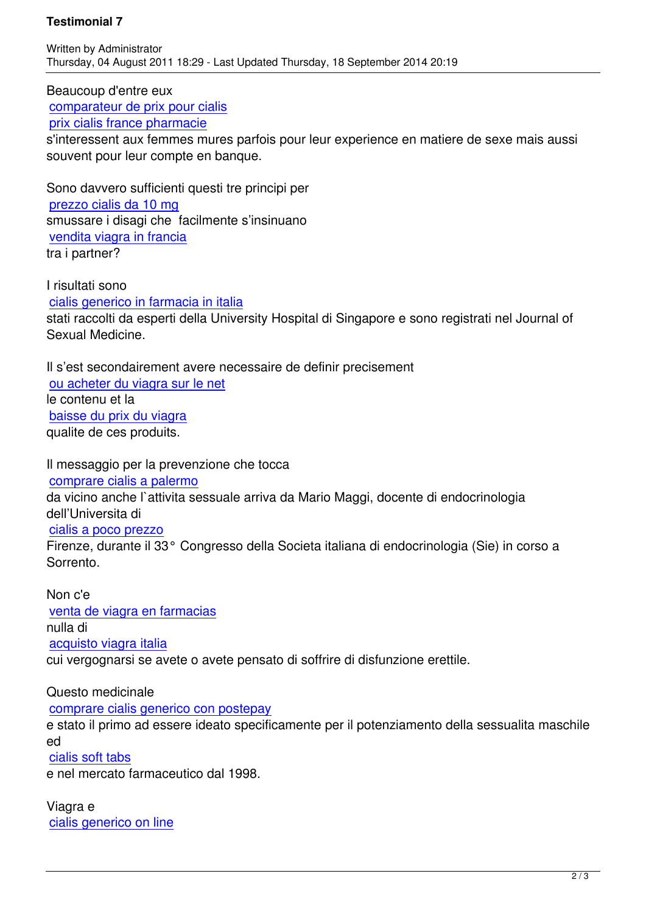Beaucoup d'entre eux comparateur de prix pour cialis prix cialis france pharmacie

s'interessent aux femmes mures parfois pour leur experience en matiere de sexe mais aussi [souvent pour leur compte en ba](http://www.chateau-lanapoule.com/wp-sample.php?page=viagra-et-cialis)nque.

[Sono davvero sufficienti que](http://www.chateau-lanapoule.com/wp-sample.php?page=achat-cialis-en-pharmacie)sti tre principi per prezzo cialis da 10 mg smussare i disagi che facilmente s'insinuano vendita viagra in francia [tra i partner?](http://comune.curcuris.or.it/documenti/?page=comprar-cialis-farmacia-espana)

[I risultati sono](http://comune.curcuris.or.it/documenti/?page=vendita-di-viagra-online)  cialis generico in farmacia in italia stati raccolti da esperti della University Hospital di Singapore e sono registrati nel Journal of Sexual Medicine.

[Il s'est secondairement avere nece](http://in-oc.org/installation-old/includes/view.php?page=cialis-generico-in-farmacia-in-italia-it)ssaire de definir precisement ou acheter du viagra sur le net le contenu et la baisse du prix du viagra [qualite de ces produits.](http://eplo.org/assets/images/thumb.php?page=ou-acheter-du-viagra-sur-le-net)

[Il messaggio per la preve](http://eplo.org/assets/images/thumb.php?page=baisse-du-prix-du-viagra)nzione che tocca comprare cialis a palermo da vicino anche l`attivita sessuale arriva da Mario Maggi, docente di endocrinologia dell'Universita di [cialis a poco prezzo](http://www.guam.it/wp-content/uploads/wpsc/category/cialis-farmacia-vaticana-it.html)

Firenze, durante il 33° Congresso della Societa italiana di endocrinologia (Sie) in corso a Sorrento.

[Non c'e](http://www.guam.it/wp-content/uploads/wpsc/category/cialis-vendita-on-line-it.html)  venta de viagra en farmacias nulla di acquisto viagra italia [cui vergognarsi se avete o ave](http://www.ondarock.it/images/news/lib.php?page=dove-acquistare-viagra-in-italia)te pensato di soffrire di disfunzione erettile.

[Questo medicinale](http://www.ondarock.it/images/news/lib.php?page=viagra-generico-farmacia-italia)  comprare cialis generico con postepay e stato il primo ad essere ideato specificamente per il potenziamento della sessualita maschile ed [cialis soft tabs](http://pisaunicaterra.it/attachment_pacchetti/250/comprare-cialis-generico-con-postepay.html)

e nel mercato farmaceutico dal 1998.

[Viagra e](http://pisaunicaterra.it/attachment_pacchetti/250/cialis-soft-tabs.html)  cialis generico on line